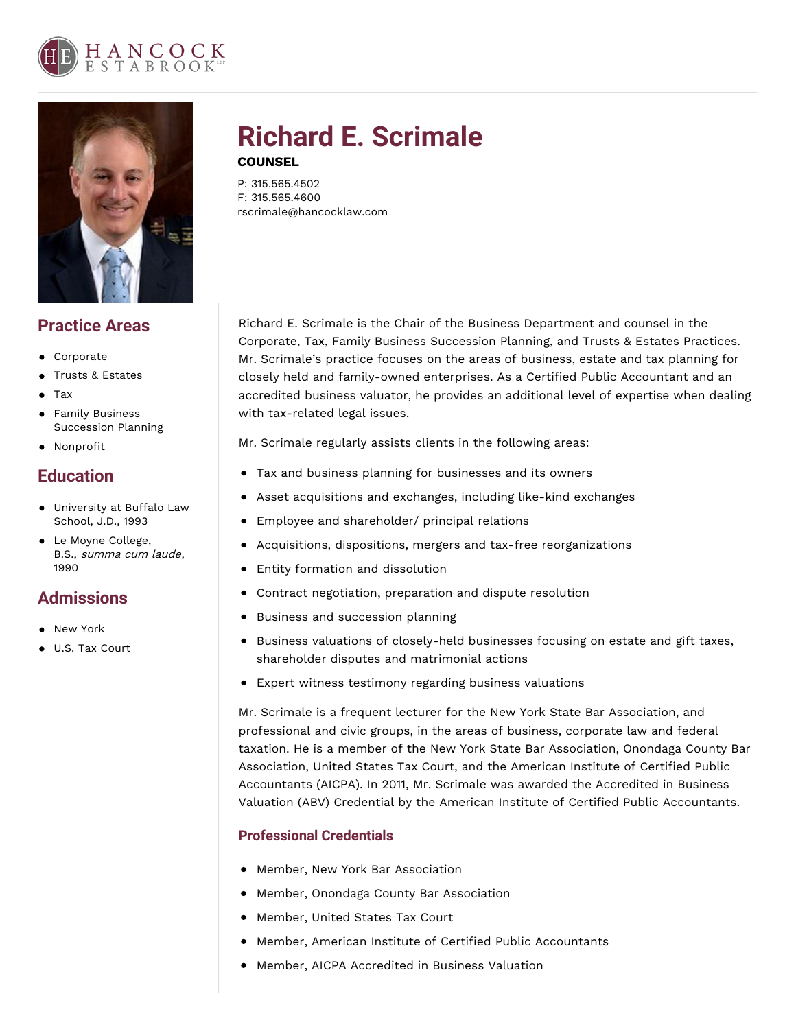



## **Practice Areas**

- Corporate
- Trusts & Estates
- Tax
- Family Business Succession Planning
- Nonprofit

# **Education**

- University at Buffalo Law School, J.D., 1993
- Le Moyne College, B.S., summa cum laude, 1990

# **Admissions**

- New York
- U.S. Tax Court

# **Richard E. Scrimale**

### **COUNSEL**

P: 315.565.4502 F: 315.565.4600 rscrimale@hancocklaw.com

Richard E. Scrimale is the Chair of the Business Department and counsel in the Corporate, Tax, Family Business Succession Planning, and Trusts & Estates Practices. Mr. Scrimale's practice focuses on the areas of business, estate and tax planning for closely held and family-owned enterprises. As a Certified Public Accountant and an accredited business valuator, he provides an additional level of expertise when dealing with tax-related legal issues.

Mr. Scrimale regularly assists clients in the following areas:

- Tax and business planning for businesses and its owners
- Asset acquisitions and exchanges, including like-kind exchanges
- Employee and shareholder/ principal relations
- Acquisitions, dispositions, mergers and tax-free reorganizations
- Entity formation and dissolution
- Contract negotiation, preparation and dispute resolution
- Business and succession planning
- **Business valuations of closely-held businesses focusing on estate and gift taxes,** shareholder disputes and matrimonial actions
- Expert witness testimony regarding business valuations

Mr. Scrimale is a frequent lecturer for the New York State Bar Association, and professional and civic groups, in the areas of business, corporate law and federal taxation. He is a member of the New York State Bar Association, Onondaga County Bar Association, United States Tax Court, and the American Institute of Certified Public Accountants (AICPA). In 2011, Mr. Scrimale was awarded the Accredited in Business Valuation (ABV) Credential by the American Institute of Certified Public Accountants.

## **Professional Credentials**

- Member, New York Bar Association
- Member, Onondaga County Bar Association
- Member, United States Tax Court
- Member, American Institute of Certified Public Accountants
- Member, AICPA Accredited in Business Valuation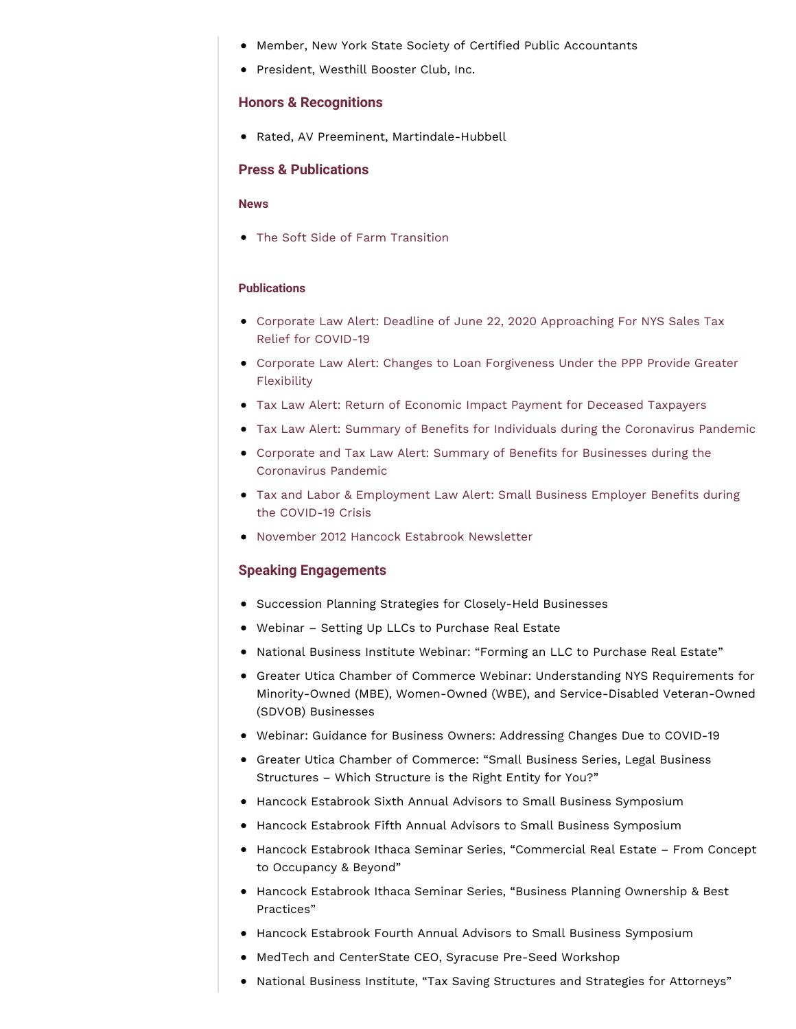- Member, New York State Society of Certified Public Accountants
- President, Westhill Booster Club, Inc.

#### **Honors & Recognitions**

Rated, AV Preeminent, Martindale-Hubbell

#### **Press & Publications**

#### **News**

The Soft Side of Farm Transition

#### **Publications**

- Corporate Law Alert: Deadline of June 22, 2020 [Approaching](https://www.hancocklaw.com/publications/corporate-law-alert-deadline-of-june-22-2020-approaching-for-nys-sales-tax-relief-for-covid-19/) For NYS Sales Tax Relief for COVID-19
- Corporate Law Alert: Changes to Loan [Forgiveness](https://www.hancocklaw.com/publications/corporate-law-alert-changes-to-loan-forgiveness-under-the-ppp-provide-greater-flexibility/) Under the PPP Provide Greater Flexibility
- Tax Law Alert: Return of Economic Impact Payment for Deceased [Taxpayers](https://www.hancocklaw.com/publications/tax-law-alert-return-of-economic-impact-payment-for-deceased-taxpayers/)
- Tax Law Alert: Summary of Benefits for Individuals during the [Coronavirus](https://www.hancocklaw.com/publications/tax-law-alert-summary-of-benefits-for-individuals-during-the-coronavirus-pandemic/) Pandemic
- Corporate and Tax Law Alert: Summary of Benefits for Businesses during the [Coronavirus](https://www.hancocklaw.com/publications/corporate-and-tax-law-alert-summary-of-benefits-for-businesses-during-the-coronavirus-pandemic/) Pandemic
- Tax and Labor & [Employment](https://www.hancocklaw.com/publications/tax-and-labor-employment-law-alert-small-business-employer-benefits-during-the-covid-19-crisis/) Law Alert: Small Business Employer Benefits during the COVID-19 Crisis
- November 2012 Hancock Estabrook [Newsletter](https://www.hancocklaw.com/publications/november-2012-hancock-estabrook-newsletter-john-t-mccann-wendy-a-marsh-alan-j-pierce-david-g-linger-and-richard-e-scrimale/)

#### **Speaking Engagements**

- **•** Succession Planning Strategies for Closely-Held Businesses
- Webinar Setting Up LLCs to Purchase Real Estate
- National Business Institute Webinar: "Forming an LLC to Purchase Real Estate"
- Greater Utica Chamber of Commerce Webinar: Understanding NYS Requirements for Minority-Owned (MBE), Women-Owned (WBE), and Service-Disabled Veteran-Owned (SDVOB) Businesses
- Webinar: Guidance for Business Owners: Addressing Changes Due to COVID-19
- Greater Utica Chamber of Commerce: "Small Business Series, Legal Business Structures – Which Structure is the Right Entity for You?"
- **Hancock Estabrook Sixth Annual Advisors to Small Business Symposium**
- Hancock Estabrook Fifth Annual Advisors to Small Business Symposium
- Hancock Estabrook Ithaca Seminar Series, "Commercial Real Estate From Concept to Occupancy & Beyond"
- Hancock Estabrook Ithaca Seminar Series, "Business Planning Ownership & Best Practices"
- Hancock Estabrook Fourth Annual Advisors to Small Business Symposium
- MedTech and CenterState CEO, Syracuse Pre-Seed Workshop
- National Business Institute, "Tax Saving Structures and Strategies for Attorneys"